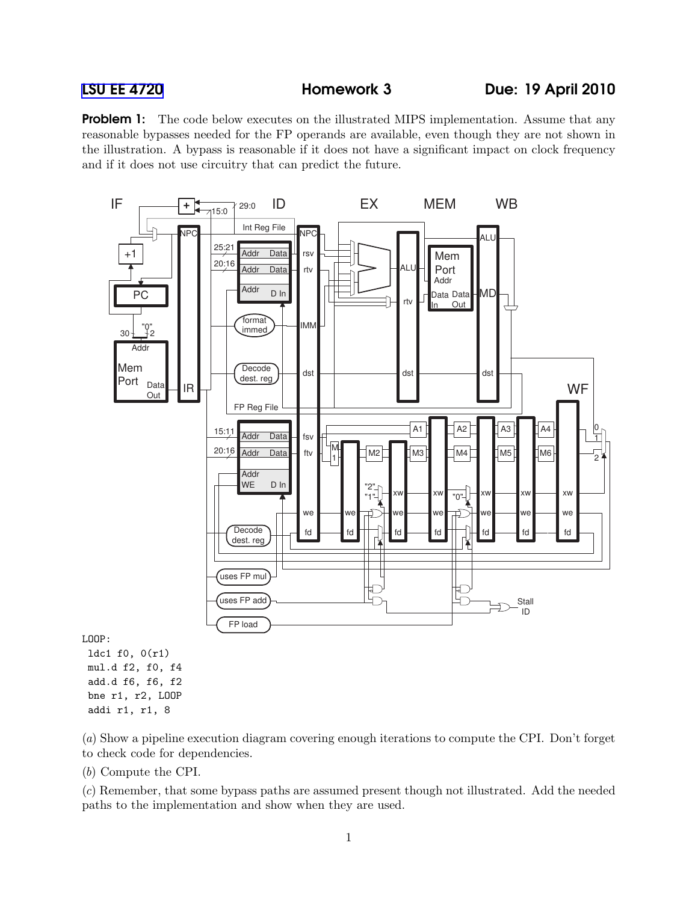**Problem 1:** The code below executes on the illustrated MIPS implementation. Assume that any reasonable bypasses needed for the FP operands are available, even though they are not shown in the illustration. A bypass is reasonable if it does not have a significant impact on clock frequency and if it does not use circuitry that can predict the future.



bne r1, r2, LOOP addi r1, r1, 8

(a) Show a pipeline execution diagram covering enough iterations to compute the CPI. Don't forget to check code for dependencies.

(b) Compute the CPI.

(c) Remember, that some bypass paths are assumed present though not illustrated. Add the needed paths to the implementation and show when they are used.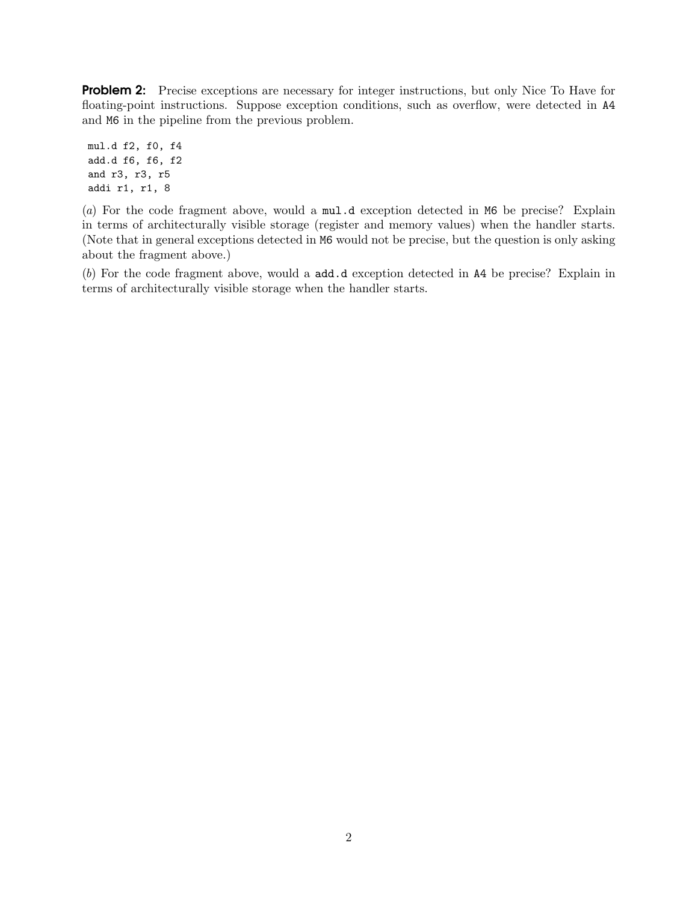**Problem 2:** Precise exceptions are necessary for integer instructions, but only Nice To Have for floating-point instructions. Suppose exception conditions, such as overflow, were detected in A4 and M6 in the pipeline from the previous problem.

mul.d f2, f0, f4 add.d f6, f6, f2 and r3, r3, r5 addi r1, r1, 8

(a) For the code fragment above, would a mul.d exception detected in M6 be precise? Explain in terms of architecturally visible storage (register and memory values) when the handler starts. (Note that in general exceptions detected in M6 would not be precise, but the question is only asking about the fragment above.)

(b) For the code fragment above, would a add.d exception detected in A4 be precise? Explain in terms of architecturally visible storage when the handler starts.